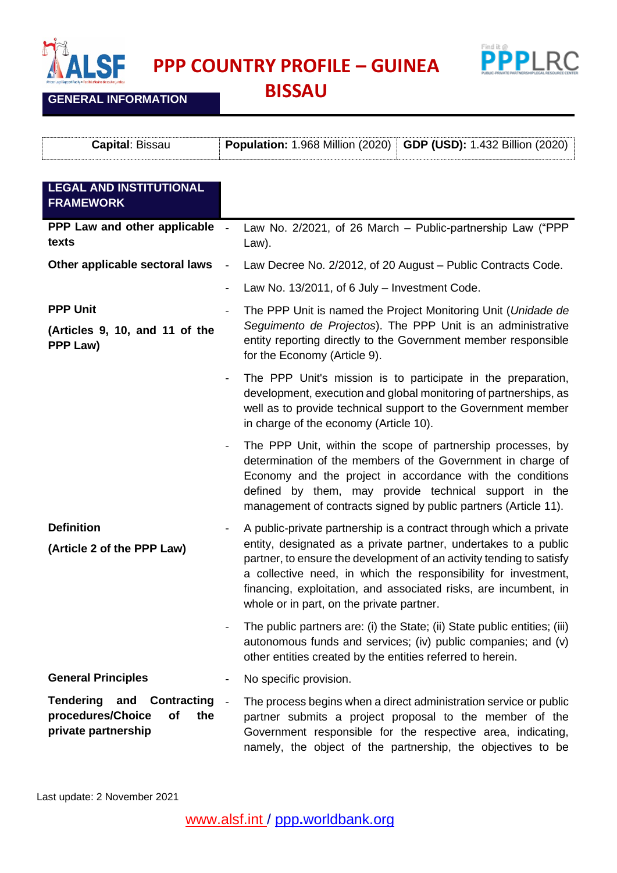

**PPP COUNTRY PROFILE – GUINEA** 



**GENERAL INFORMATION**

**BISSAU**

| <b>Capital: Bissau</b>                                                                       | <b>GDP (USD): 1.432 Billion (2020)</b><br>Population: 1.968 Million (2020)                                                                                                                                                                                                                                                                                                                       |
|----------------------------------------------------------------------------------------------|--------------------------------------------------------------------------------------------------------------------------------------------------------------------------------------------------------------------------------------------------------------------------------------------------------------------------------------------------------------------------------------------------|
| <b>LEGAL AND INSTITUTIONAL</b><br><b>FRAMEWORK</b>                                           |                                                                                                                                                                                                                                                                                                                                                                                                  |
| PPP Law and other applicable<br>texts                                                        | Law No. 2/2021, of 26 March - Public-partnership Law ("PPP<br>Law).                                                                                                                                                                                                                                                                                                                              |
| Other applicable sectoral laws                                                               | Law Decree No. 2/2012, of 20 August - Public Contracts Code.                                                                                                                                                                                                                                                                                                                                     |
|                                                                                              | Law No. 13/2011, of 6 July - Investment Code.                                                                                                                                                                                                                                                                                                                                                    |
| <b>PPP Unit</b><br>(Articles 9, 10, and 11 of the<br>PPP Law)                                | The PPP Unit is named the Project Monitoring Unit (Unidade de<br>Seguimento de Projectos). The PPP Unit is an administrative<br>entity reporting directly to the Government member responsible<br>for the Economy (Article 9).                                                                                                                                                                   |
|                                                                                              | The PPP Unit's mission is to participate in the preparation,<br>development, execution and global monitoring of partnerships, as<br>well as to provide technical support to the Government member<br>in charge of the economy (Article 10).                                                                                                                                                      |
|                                                                                              | The PPP Unit, within the scope of partnership processes, by<br>determination of the members of the Government in charge of<br>Economy and the project in accordance with the conditions<br>defined by them, may provide technical support in the<br>management of contracts signed by public partners (Article 11).                                                                              |
| <b>Definition</b><br>(Article 2 of the PPP Law)                                              | A public-private partnership is a contract through which a private<br>entity, designated as a private partner, undertakes to a public<br>partner, to ensure the development of an activity tending to satisfy<br>a collective need, in which the responsibility for investment,<br>financing, exploitation, and associated risks, are incumbent, in<br>whole or in part, on the private partner. |
|                                                                                              | The public partners are: (i) the State; (ii) State public entities; (iii)<br>autonomous funds and services; (iv) public companies; and (v)<br>other entities created by the entities referred to herein.                                                                                                                                                                                         |
| <b>General Principles</b>                                                                    | No specific provision.                                                                                                                                                                                                                                                                                                                                                                           |
| Tendering and<br><b>Contracting</b><br>procedures/Choice<br>of<br>the<br>private partnership | The process begins when a direct administration service or public<br>$\sim$<br>partner submits a project proposal to the member of the<br>Government responsible for the respective area, indicating,<br>namely, the object of the partnership, the objectives to be                                                                                                                             |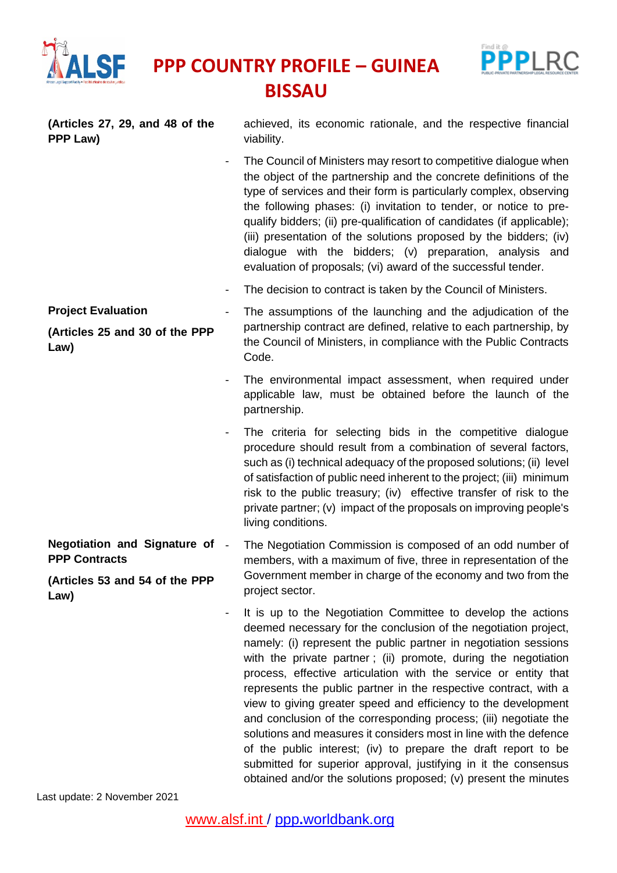

**PPP Law)**

**PPP COUNTRY PROFILE – GUINEA BISSAU**



**(Articles 27, 29, and 48 of the** achieved, its economic rationale, and the respective financial

viability. The Council of Ministers may resort to competitive dialogue when the object of the partnership and the concrete definitions of the type of services and their form is particularly complex, observing the following phases: (i) invitation to tender, or notice to prequalify bidders; (ii) pre-qualification of candidates (if applicable); (iii) presentation of the solutions proposed by the bidders; (iv)

dialogue with the bidders; (v) preparation, analysis and evaluation of proposals; (vi) award of the successful tender.

- The decision to contract is taken by the Council of Ministers.
- The assumptions of the launching and the adjudication of the partnership contract are defined, relative to each partnership, by the Council of Ministers, in compliance with the Public Contracts Code.
	- The environmental impact assessment, when required under applicable law, must be obtained before the launch of the partnership.
	- The criteria for selecting bids in the competitive dialogue procedure should result from a combination of several factors, such as (i) technical adequacy of the proposed solutions; (ii) level of satisfaction of public need inherent to the project; (iii) minimum risk to the public treasury; (iv) effective transfer of risk to the private partner; (v) impact of the proposals on improving people's living conditions.
- **Negotiation and Signature of PPP Contracts (Articles 53 and 54 of the PPP Law)** The Negotiation Commission is composed of an odd number of members, with a maximum of five, three in representation of the Government member in charge of the economy and two from the project sector.
	- It is up to the Negotiation Committee to develop the actions deemed necessary for the conclusion of the negotiation project, namely: (i) represent the public partner in negotiation sessions with the private partner; (ii) promote, during the negotiation process, effective articulation with the service or entity that represents the public partner in the respective contract, with a view to giving greater speed and efficiency to the development and conclusion of the corresponding process; (iii) negotiate the solutions and measures it considers most in line with the defence of the public interest; (iv) to prepare the draft report to be submitted for superior approval, justifying in it the consensus obtained and/or the solutions proposed; (v) present the minutes

Last update: 2 November 2021

**Project Evaluation**

## **(Articles 25 and 30 of the PPP Law)**